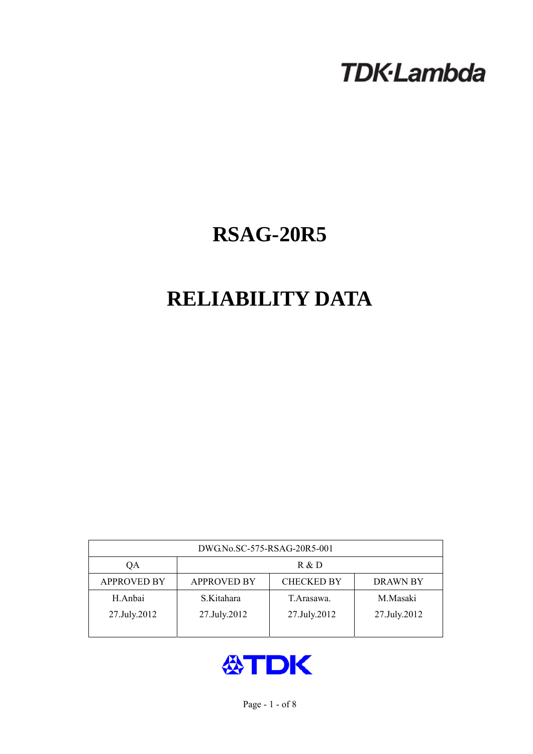# **TDK-Lambda**

## **RSAG-20R5**

## **RELIABILITY DATA**

| DWG.No.SC-575-RSAG-20R5-001 |                                                            |              |              |  |  |  |
|-----------------------------|------------------------------------------------------------|--------------|--------------|--|--|--|
| QA                          | R & D                                                      |              |              |  |  |  |
| <b>APPROVED BY</b>          | <b>CHECKED BY</b><br><b>APPROVED BY</b><br><b>DRAWN BY</b> |              |              |  |  |  |
| H.Anbai                     | S.Kitahara                                                 | T. Arasawa.  | M.Masaki     |  |  |  |
| 27.July.2012                | 27.July.2012                                               | 27.July.2012 | 27.July.2012 |  |  |  |
|                             |                                                            |              |              |  |  |  |

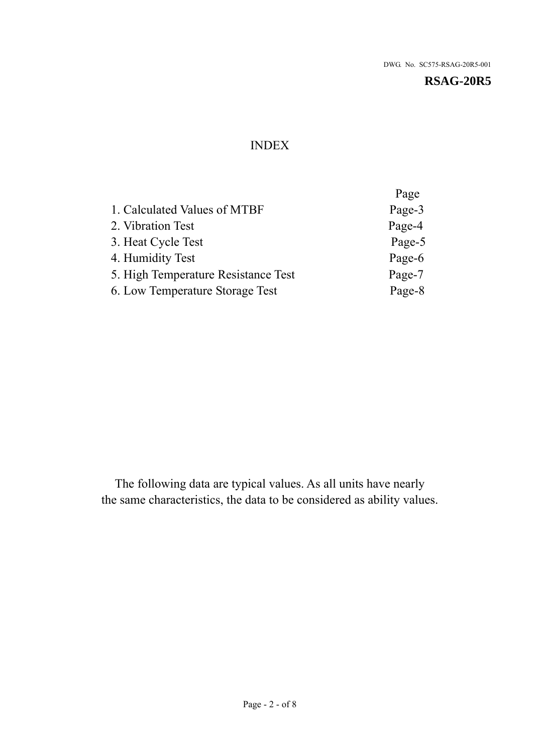## INDEX

|                                     | Page   |
|-------------------------------------|--------|
| 1. Calculated Values of MTBF        | Page-3 |
| 2. Vibration Test                   | Page-4 |
| 3. Heat Cycle Test                  | Page-5 |
| 4. Humidity Test                    | Page-6 |
| 5. High Temperature Resistance Test | Page-7 |
| 6. Low Temperature Storage Test     | Page-8 |
|                                     |        |

The following data are typical values. As all units have nearly the same characteristics, the data to be considered as ability values.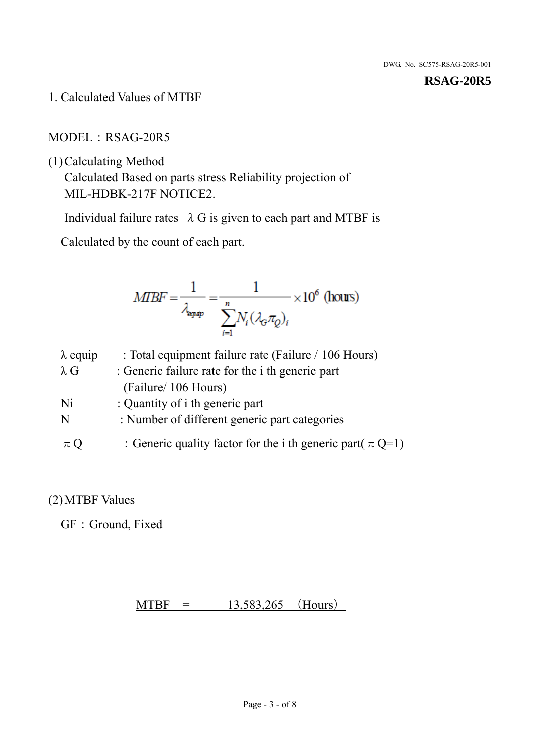1. Calculated Values of MTBF

#### MODEL: RSAG-20R5

(1)Calculating Method

Calculated Based on parts stress Reliability projection of MIL-HDBK-217F NOTICE2.

Individual failure rates  $\lambda$  G is given to each part and MTBF is

Calculated by the count of each part.

$$
MIBF = \frac{1}{\lambda_{\text{expap}}} = \frac{1}{\sum_{i=1}^{n} N_i (\lambda_{\text{G}} \pi_Q)_i} \times 10^6 \text{ (hours)}
$$

| $\lambda$ equip | : Total equipment failure rate (Failure / 106 Hours)            |
|-----------------|-----------------------------------------------------------------|
| $\lambda$ G     | : Generic failure rate for the <i>i</i> th generic part         |
|                 | (Failure/ 106 Hours)                                            |
| Ni              | : Quantity of i th generic part                                 |
| N               | : Number of different generic part categories                   |
| $\pi Q$         | : Generic quality factor for the i th generic part( $\pi Q=1$ ) |

### (2)MTBF Values

GF: Ground, Fixed

 $MTBF = 13,583,265$  (Hours)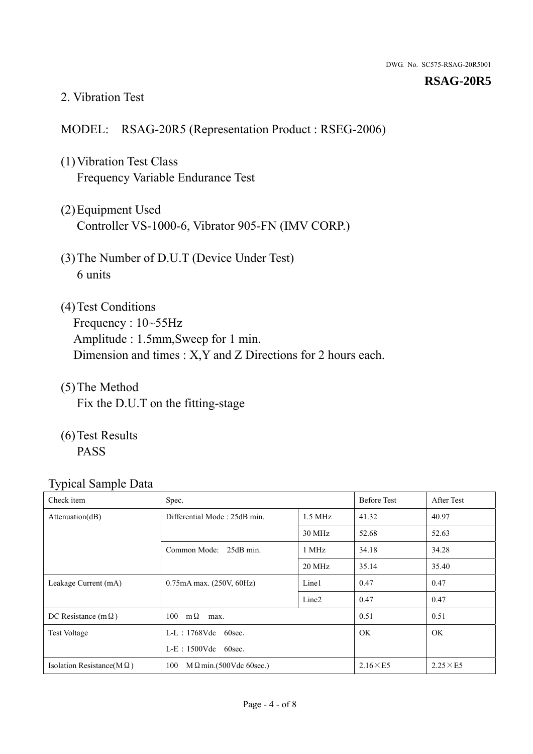#### 2. Vibration Test

#### MODEL: RSAG-20R5 (Representation Product : RSEG-2006)

- (1)Vibration Test Class Frequency Variable Endurance Test
- (2)Equipment Used Controller VS-1000-6, Vibrator 905-FN (IMV CORP.)
- (3)The Number of D.U.T (Device Under Test) 6 units
- (4) Test Conditions Frequency : 10~55Hz Amplitude : 1.5mm,Sweep for 1 min. Dimension and times : X,Y and Z Directions for 2 hours each.
- (5)The Method Fix the D.U.T on the fitting-stage
- (6)Test Results PASS

| ┙┸<br>Check item                  | Spec.                                |                   | <b>Before Test</b> | After Test      |
|-----------------------------------|--------------------------------------|-------------------|--------------------|-----------------|
| Attenuation(dB)                   | Differential Mode: 25dB min.         | $1.5 \text{ MHz}$ | 41.32              | 40.97           |
|                                   |                                      | 30 MHz            | 52.68              | 52.63           |
|                                   | Common Mode: 25dB min.               | 1 MHz             | 34.18              | 34.28           |
|                                   |                                      | 20 MHz            | 35.14              | 35.40           |
| Leakage Current (mA)              | $0.75mA$ max. $(250V, 60Hz)$         | Line1             | 0.47               | 0.47            |
|                                   |                                      | Line <sub>2</sub> | 0.47               | 0.47            |
| DC Resistance (m $\Omega$ )       | $100 \text{ m}\Omega$<br>max.        |                   | 0.51               | 0.51            |
| <b>Test Voltage</b>               | $L-L$ : 1768Vdc 60sec.               |                   | <b>OK</b>          | OK              |
|                                   | $L-E$ : 1500Vdc 60sec.               |                   |                    |                 |
| Isolation Resistance(M $\Omega$ ) | $M\Omega$ min.(500Vdc 60sec.)<br>100 |                   | $2.16\times E5$    | $2.25\times E5$ |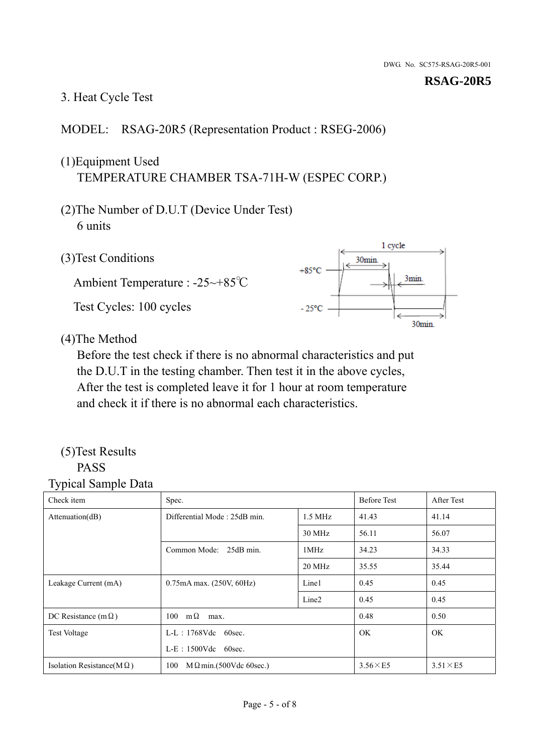#### 3. Heat Cycle Test

#### MODEL: RSAG-20R5 (Representation Product : RSEG-2006)

## (1)Equipment Used TEMPERATURE CHAMBER TSA-71H-W (ESPEC CORP.)

- (2)The Number of D.U.T (Device Under Test) 6 units
- 1 cycle (3)Test Conditions 30<sub>min</sub>  $+85^{\circ}$ C 3min. Ambient Temperature : -25~+85℃ Test Cycles: 100 cycles  $-25^{\circ}$ C 30min.

(4)The Method

Before the test check if there is no abnormal characteristics and put the D.U.T in the testing chamber. Then test it in the above cycles, After the test is completed leave it for 1 hour at room temperature and check it if there is no abnormal each characteristics.

#### (5)Test Results PASS

| ┙┸<br>Check item                  | Spec.                                |                   | <b>Before Test</b> | After Test      |
|-----------------------------------|--------------------------------------|-------------------|--------------------|-----------------|
| Attention(dB)                     | Differential Mode: 25dB min.         | $1.5$ MHz         | 41.43              | 41.14           |
|                                   |                                      | 30 MHz            | 56.11              | 56.07           |
|                                   | Common Mode: 25dB min.               | 1MHz              | 34.23              | 34.33           |
|                                   |                                      | 20 MHz            | 35.55              | 35.44           |
| Leakage Current (mA)              | 0.75mA max. (250V, 60Hz)             | Line1             | 0.45               | 0.45            |
|                                   |                                      | Line <sub>2</sub> | 0.45               | 0.45            |
| DC Resistance (m $\Omega$ )       | $100 \quad m\Omega$<br>max.          |                   | 0.48               | 0.50            |
| <b>Test Voltage</b>               | $L-L$ : 1768Vdc 60sec.               |                   | OK.                | OK.             |
|                                   | $L-E$ : 1500Vdc 60sec.               |                   |                    |                 |
| Isolation Resistance(M $\Omega$ ) | 100<br>$M\Omega$ min.(500Vdc 60sec.) |                   | $3.56\times E5$    | $3.51\times E5$ |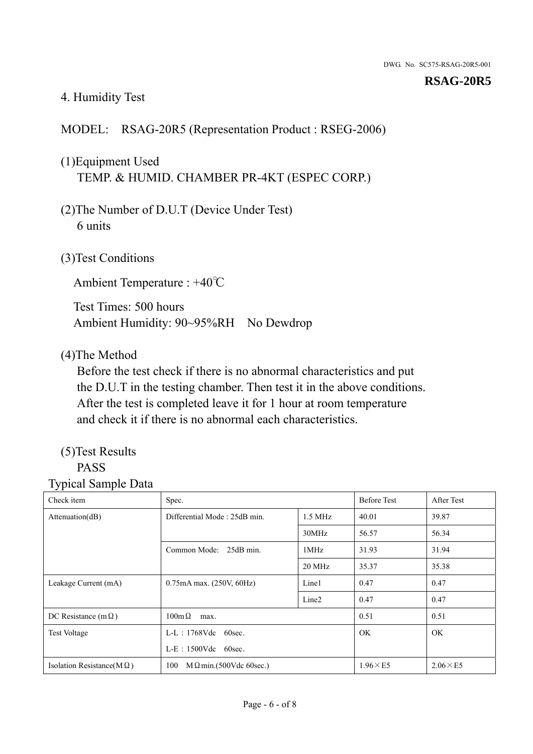#### 4. Humidity Test

#### MODEL: RSAG-20R5 (Representation Product : RSEG-2006)

## (1)Equipment Used TEMP. & HUMID. CHAMBER PR-4KT (ESPEC CORP.)

- (2)The Number of D.U.T (Device Under Test) 6 units
- (3)Test Conditions

Ambient Temperature : +40℃

Test Times: 500 hours Ambient Humidity: 90~95%RH No Dewdrop

#### (4)The Method

Before the test check if there is no abnormal characteristics and put the D.U.T in the testing chamber. Then test it in the above conditions. After the test is completed leave it for 1 hour at room temperature and check it if there is no abnormal each characteristics.

## (5)Test Results

## PASS

| Check item                        | Spec.                                     |                   | <b>Before Test</b> | After Test      |
|-----------------------------------|-------------------------------------------|-------------------|--------------------|-----------------|
| Attenuation(dB)                   | Differential Mode: 25dB min.<br>$1.5$ MHz |                   | 40.01              | 39.87           |
|                                   |                                           | 30MHz             | 56.57              | 56.34           |
|                                   | Common Mode: 25dB min.                    | 1MHz              | 31.93              | 31.94           |
|                                   |                                           | 20 MHz            | 35.37              | 35.38           |
| Leakage Current (mA)              | 0.75mA max. (250V, 60Hz)                  | Line1             | 0.47               | 0.47            |
|                                   |                                           | Line <sub>2</sub> | 0.47               | 0.47            |
| DC Resistance (m $\Omega$ )       | $100 \text{m}\,\Omega$<br>max.            |                   | 0.51               | 0.51            |
| <b>Test Voltage</b>               | $L-L$ : 1768Vdc 60sec.                    |                   | OK.                | OK.             |
|                                   | $L-E$ : 1500Vdc 60sec.                    |                   |                    |                 |
| Isolation Resistance(M $\Omega$ ) | $M \Omega$ min.(500Vdc 60sec.)<br>100     |                   | $1.96\times E5$    | $2.06\times E5$ |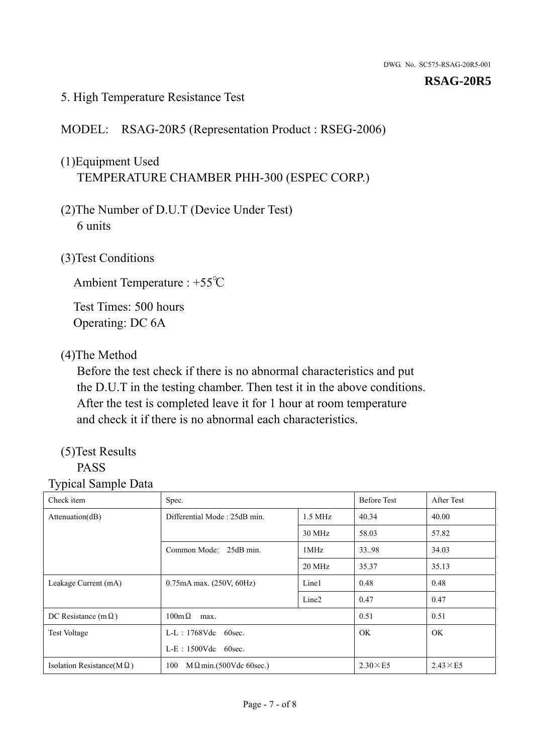#### 5. High Temperature Resistance Test

#### MODEL: RSAG-20R5 (Representation Product : RSEG-2006)

## (1)Equipment Used TEMPERATURE CHAMBER PHH-300 (ESPEC CORP.)

- (2)The Number of D.U.T (Device Under Test) 6 units
- (3)Test Conditions

Ambient Temperature : +55℃

Test Times: 500 hours Operating: DC 6A

#### (4)The Method

Before the test check if there is no abnormal characteristics and put the D.U.T in the testing chamber. Then test it in the above conditions. After the test is completed leave it for 1 hour at room temperature and check it if there is no abnormal each characteristics.

## (5)Test Results

## PASS

| . .<br>Check item                 | Spec.                                     |                   | <b>Before Test</b> | After Test      |
|-----------------------------------|-------------------------------------------|-------------------|--------------------|-----------------|
| Attention(dB)                     | Differential Mode: 25dB min.<br>$1.5$ MHz |                   | 40.34              | 40.00           |
|                                   |                                           | 30 MHz            | 58.03              | 57.82           |
|                                   | Common Mode: 25dB min.                    | 1MHz              | 33.98              | 34.03           |
|                                   |                                           | 20 MHz            | 35.37              | 35.13           |
| Leakage Current (mA)              | 0.75mA max. (250V, 60Hz)                  | Line1             | 0.48               | 0.48            |
|                                   |                                           | Line <sub>2</sub> | 0.47               | 0.47            |
| DC Resistance (m $\Omega$ )       | $100m\Omega$<br>max.                      |                   | 0.51               | 0.51            |
| <b>Test Voltage</b>               | $L-L$ : 1768Vdc 60sec.                    |                   | <b>OK</b>          | OK.             |
|                                   | $L-E$ : 1500Vdc 60sec.                    |                   |                    |                 |
| Isolation Resistance( $M\Omega$ ) | 100<br>$M \Omega$ min.(500Vdc 60sec.)     |                   | $2.30\times E5$    | $2.43\times E5$ |